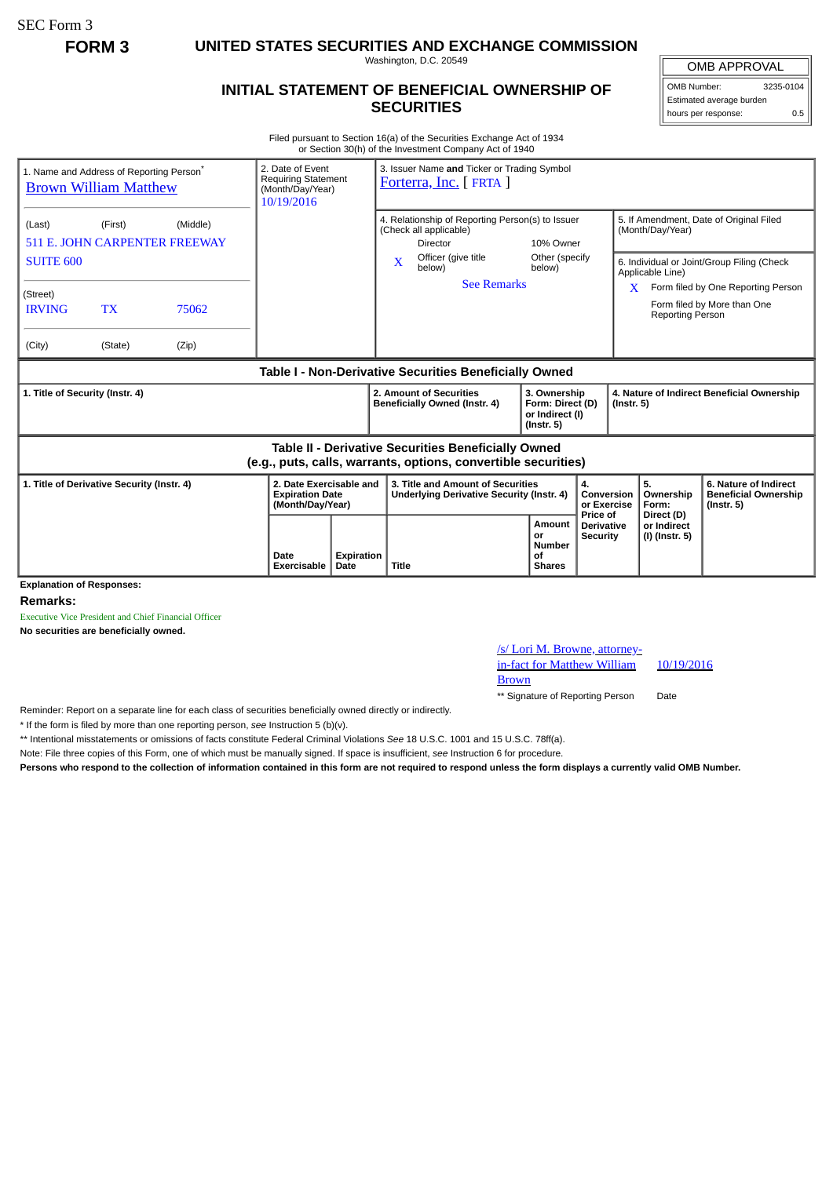SEC Form 3

**FORM 3 UNITED STATES SECURITIES AND EXCHANGE COMMISSION**

Washington, D.C. 20549

## **INITIAL STATEMENT OF BENEFICIAL OWNERSHIP OF SECURITIES**

OMB APPROVAL

OMB Number: 3235-0104 Estimated average burden hours per response: 0.5

Filed pursuant to Section 16(a) of the Securities Exchange Act of 1934 or Section 30(h) of the Investment Company Act of 1940

| 1. Name and Address of Reporting Person <sup>®</sup><br><b>Brown William Matthew</b>                                  |                      |                | 2. Date of Event<br><b>Requiring Statement</b><br>(Month/Day/Year)<br>10/19/2016 |                           | 3. Issuer Name and Ticker or Trading Symbol<br>Forterra, Inc. [FRTA ]                                                                |                              |                                                                         |                                      |                                                                                                           |                                                                                             |                                                                          |  |
|-----------------------------------------------------------------------------------------------------------------------|----------------------|----------------|----------------------------------------------------------------------------------|---------------------------|--------------------------------------------------------------------------------------------------------------------------------------|------------------------------|-------------------------------------------------------------------------|--------------------------------------|-----------------------------------------------------------------------------------------------------------|---------------------------------------------------------------------------------------------|--------------------------------------------------------------------------|--|
| (Middle)<br>(Last)<br>(First)<br><b>511 E. JOHN CARPENTER FREEWAY</b><br><b>SUITE 600</b>                             |                      |                |                                                                                  |                           | 4. Relationship of Reporting Person(s) to Issuer<br>(Check all applicable)<br><b>Director</b><br>Officer (give title<br>$\mathbf{x}$ |                              | 10% Owner<br>Other (specify                                             |                                      | 5. If Amendment, Date of Original Filed<br>(Month/Day/Year)<br>6. Individual or Joint/Group Filing (Check |                                                                                             |                                                                          |  |
| (Street)                                                                                                              |                      |                |                                                                                  |                           |                                                                                                                                      | below)<br><b>See Remarks</b> | below)                                                                  |                                      |                                                                                                           | Applicable Line)<br>Form filed by One Reporting Person<br>X.<br>Form filed by More than One |                                                                          |  |
| <b>IRVING</b><br>(City)                                                                                               | <b>TX</b><br>(State) | 75062<br>(Zip) |                                                                                  |                           |                                                                                                                                      |                              |                                                                         |                                      |                                                                                                           | <b>Reporting Person</b>                                                                     |                                                                          |  |
| Table I - Non-Derivative Securities Beneficially Owned                                                                |                      |                |                                                                                  |                           |                                                                                                                                      |                              |                                                                         |                                      |                                                                                                           |                                                                                             |                                                                          |  |
| 1. Title of Security (Instr. 4)                                                                                       |                      |                |                                                                                  |                           | 2. Amount of Securities<br>Beneficially Owned (Instr. 4)                                                                             |                              | 3. Ownership<br>Form: Direct (D)<br>or Indirect (I)<br>$($ lnstr. 5 $)$ |                                      | 4. Nature of Indirect Beneficial Ownership<br>$($ lnstr. 5 $)$                                            |                                                                                             |                                                                          |  |
| Table II - Derivative Securities Beneficially Owned<br>(e.g., puts, calls, warrants, options, convertible securities) |                      |                |                                                                                  |                           |                                                                                                                                      |                              |                                                                         |                                      |                                                                                                           |                                                                                             |                                                                          |  |
| 1. Title of Derivative Security (Instr. 4)                                                                            |                      |                | 2. Date Exercisable and<br><b>Expiration Date</b><br>(Month/Day/Year)            |                           | 3. Title and Amount of Securities<br>Underlying Derivative Security (Instr. 4)                                                       |                              | 4.<br>Conversion<br>or Exercise<br>Price of                             |                                      |                                                                                                           | 5.<br>Ownership<br>Form:<br>Direct (D)                                                      | 6. Nature of Indirect<br><b>Beneficial Ownership</b><br>$($ lnstr. 5 $)$ |  |
|                                                                                                                       |                      |                | Date<br><b>Exercisable</b>                                                       | <b>Expiration</b><br>Date | Title                                                                                                                                |                              | Amount<br>or<br><b>Number</b><br>of<br><b>Shares</b>                    | <b>Derivative</b><br><b>Security</b> |                                                                                                           | or Indirect<br>(I) (Instr. 5)                                                               |                                                                          |  |
| <b>Explanation of Responses:</b>                                                                                      |                      |                |                                                                                  |                           |                                                                                                                                      |                              |                                                                         |                                      |                                                                                                           |                                                                                             |                                                                          |  |

**Remarks:**

Executive Vice President and Chief Financial Officer

**No securities are beneficially owned.**

/s/ Lori M. Browne, attorneyin-fact for Matthew William Brown 10/19/2016 \*\* Signature of Reporting Person Date

Reminder: Report on a separate line for each class of securities beneficially owned directly or indirectly.

\* If the form is filed by more than one reporting person, *see* Instruction 5 (b)(v).

\*\* Intentional misstatements or omissions of facts constitute Federal Criminal Violations *See* 18 U.S.C. 1001 and 15 U.S.C. 78ff(a).

Note: File three copies of this Form, one of which must be manually signed. If space is insufficient, *see* Instruction 6 for procedure.

**Persons who respond to the collection of information contained in this form are not required to respond unless the form displays a currently valid OMB Number.**